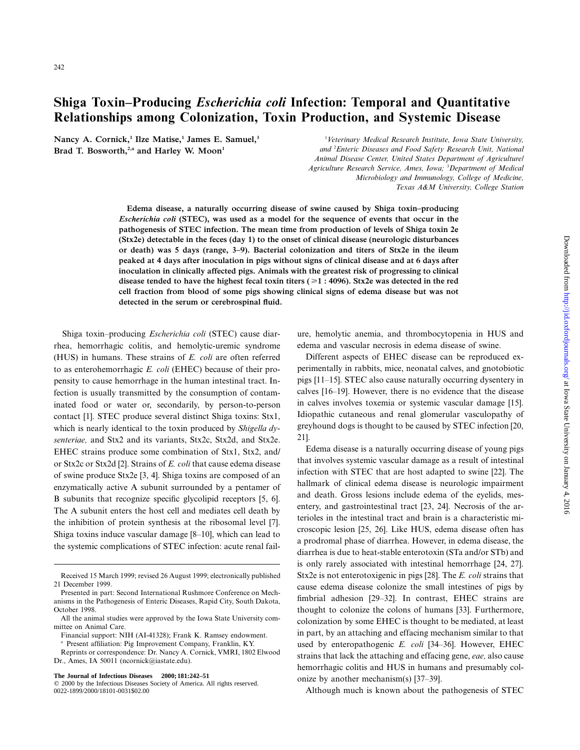# **Shiga Toxin–Producing** *Escherichia coli* **Infection: Temporal and Quantitative Relationships among Colonization, Toxin Production, and Systemic Disease**

Nancy A. Cornick,<sup>1</sup> Ilze Matise,<sup>1</sup> James E. Samuel,<sup>3</sup> Brad T. Bosworth,<sup>2,a</sup> and Harley W. Moon<sup>1</sup>

1 *Veterinary Medical Research Institute, Iowa State University, and* <sup>2</sup> *Enteric Diseases and Food Safety Research Unit, National Animal Disease Center, United States Department of Agriculture/ Agriculture Research Service, Ames, Iowa;* <sup>3</sup> *Department of Medical Microbiology and Immunology, College of Medicine, Texas A&M University, College Station*

**Edema disease, a naturally occurring disease of swine caused by Shiga toxin–producing** *Escherichia coli* **(STEC), was used as a model for the sequence of events that occur in the pathogenesis of STEC infection. The mean time from production of levels of Shiga toxin 2e (Stx2e) detectable in the feces (day 1) to the onset of clinical disease (neurologic disturbances or death) was 5 days (range, 3–9). Bacterial colonization and titers of Stx2e in the ileum peaked at 4 days after inoculation in pigs without signs of clinical disease and at 6 days after inoculation in clinically affected pigs. Animals with the greatest risk of progressing to clinical disease tended to have the highest fecal toxin titers (**>**1 : 4096). Stx2e was detected in the red cell fraction from blood of some pigs showing clinical signs of edema disease but was not detected in the serum or cerebrospinal fluid.**

Shiga toxin–producing *Escherichia coli* (STEC) cause diarrhea, hemorrhagic colitis, and hemolytic-uremic syndrome (HUS) in humans. These strains of *E. coli* are often referred to as enterohemorrhagic *E. coli* (EHEC) because of their propensity to cause hemorrhage in the human intestinal tract. Infection is usually transmitted by the consumption of contaminated food or water or, secondarily, by person-to-person contact [1]. STEC produce several distinct Shiga toxins: Stx1, which is nearly identical to the toxin produced by *Shigella dysenteriae,* and Stx2 and its variants, Stx2c, Stx2d, and Stx2e. EHEC strains produce some combination of Stx1, Stx2, and/ or Stx2c or Stx2d [2]. Strains of *E. coli* that cause edema disease of swine produce Stx2e [3, 4]. Shiga toxins are composed of an enzymatically active A subunit surrounded by a pentamer of B subunits that recognize specific glycolipid receptors [5, 6]. The A subunit enters the host cell and mediates cell death by the inhibition of protein synthesis at the ribosomal level [7]. Shiga toxins induce vascular damage [8–10], which can lead to the systemic complications of STEC infection: acute renal fail-

Reprints or correspondence: Dr. Nancy A. Cornick, VMRI, 1802 Elwood Dr., Ames, IA 50011 (ncornick@iastate.edu).

**The Journal of Infectious Diseases 2000;181:242–51**

ure, hemolytic anemia, and thrombocytopenia in HUS and edema and vascular necrosis in edema disease of swine.

Different aspects of EHEC disease can be reproduced experimentally in rabbits, mice, neonatal calves, and gnotobiotic pigs [11–15]. STEC also cause naturally occurring dysentery in calves [16–19]. However, there is no evidence that the disease in calves involves toxemia or systemic vascular damage [15]. Idiopathic cutaneous and renal glomerular vasculopathy of greyhound dogs is thought to be caused by STEC infection [20, 21].

Edema disease is a naturally occurring disease of young pigs that involves systemic vascular damage as a result of intestinal infection with STEC that are host adapted to swine [22]. The hallmark of clinical edema disease is neurologic impairment and death. Gross lesions include edema of the eyelids, mesentery, and gastrointestinal tract [23, 24]. Necrosis of the arterioles in the intestinal tract and brain is a characteristic microscopic lesion [25, 26]. Like HUS, edema disease often has a prodromal phase of diarrhea. However, in edema disease, the diarrhea is due to heat-stable enterotoxin (STa and/or STb) and is only rarely associated with intestinal hemorrhage [24, 27]. Stx2e is not enterotoxigenic in pigs [28]. The *E. coli* strains that cause edema disease colonize the small intestines of pigs by fimbrial adhesion [29–32]. In contrast, EHEC strains are thought to colonize the colons of humans [33]. Furthermore, colonization by some EHEC is thought to be mediated, at least in part, by an attaching and effacing mechanism similar to that used by enteropathogenic *E. coli* [34–36]. However, EHEC strains that lack the attaching and effacing gene, *eae,* also cause hemorrhagic colitis and HUS in humans and presumably colonize by another mechanism(s) [37–39].

Although much is known about the pathogenesis of STEC

Received 15 March 1999; revised 26 August 1999; electronically published 21 December 1999.

Presented in part: Second International Rushmore Conference on Mechanisms in the Pathogenesis of Enteric Diseases, Rapid City, South Dakota, October 1998.

All the animal studies were approved by the Iowa State University committee on Animal Care.

Financial support: NIH (AI-41328); Frank K. Ramsey endowment.

<sup>a</sup> Present affiliation: Pig Improvement Company, Franklin, KY.

 $©$  2000 by the Infectious Diseases Society of America. All rights reserved. 0022-1899/2000/18101-0031\$02.00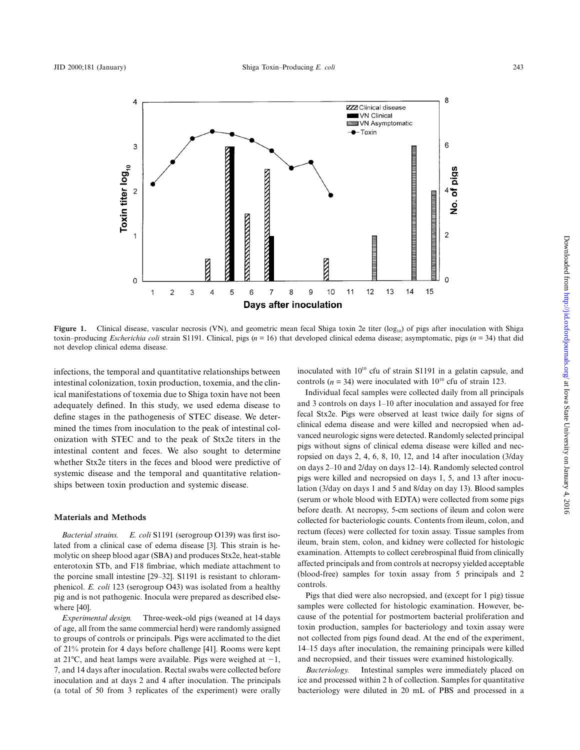

Figure 1. Clinical disease, vascular necrosis (VN), and geometric mean fecal Shiga toxin 2e titer (log<sub>10</sub>) of pigs after inoculation with Shiga toxin–producing *Escherichia coli* strain S1191. Clinical, pigs ( $n = 16$ ) that developed clinical edema disease; asymptomatic, pigs ( $n = 34$ ) that did not develop clinical edema disease.

infections, the temporal and quantitative relationships between intestinal colonization, toxin production, toxemia, and the clinical manifestations of toxemia due to Shiga toxin have not been adequately defined. In this study, we used edema disease to define stages in the pathogenesis of STEC disease. We determined the times from inoculation to the peak of intestinal colonization with STEC and to the peak of Stx2e titers in the intestinal content and feces. We also sought to determine whether Stx2e titers in the feces and blood were predictive of systemic disease and the temporal and quantitative relationships between toxin production and systemic disease.

## **Materials and Methods**

*Bacterial strains. E. coli* S1191 (serogroup O139) was first isolated from a clinical case of edema disease [3]. This strain is hemolytic on sheep blood agar (SBA) and produces Stx2e, heat-stable enterotoxin STb, and F18 fimbriae, which mediate attachment to the porcine small intestine [29–32]. S1191 is resistant to chloramphenicol. *E. coli* 123 (serogroup O43) was isolated from a healthy pig and is not pathogenic. Inocula were prepared as described elsewhere [40].

*Experimental design.* Three-week-old pigs (weaned at 14 days of age, all from the same commercial herd) were randomly assigned to groups of controls or principals. Pigs were acclimated to the diet of 21% protein for 4 days before challenge [41]. Rooms were kept at 21°C, and heat lamps were available. Pigs were weighed at  $-1$ , 7, and 14 days after inoculation. Rectal swabs were collected before inoculation and at days 2 and 4 after inoculation. The principals (a total of 50 from 3 replicates of the experiment) were orally

inoculated with  $10^{10}$  cfu of strain S1191 in a gelatin capsule, and controls ( $n = 34$ ) were inoculated with 10<sup>10</sup> cfu of strain 123.

Individual fecal samples were collected daily from all principals and 3 controls on days 1–10 after inoculation and assayed for free fecal Stx2e. Pigs were observed at least twice daily for signs of clinical edema disease and were killed and necropsied when advanced neurologic signs were detected. Randomly selected principal pigs without signs of clinical edema disease were killed and necropsied on days 2, 4, 6, 8, 10, 12, and 14 after inoculation (3/day on days 2–10 and 2/day on days 12–14). Randomly selected control pigs were killed and necropsied on days 1, 5, and 13 after inoculation (3/day on days 1 and 5 and 8/day on day 13). Blood samples (serum or whole blood with EDTA) were collected from some pigs before death. At necropsy, 5-cm sections of ileum and colon were collected for bacteriologic counts. Contents from ileum, colon, and rectum (feces) were collected for toxin assay. Tissue samples from ileum, brain stem, colon, and kidney were collected for histologic examination. Attempts to collect cerebrospinal fluid from clinically affected principals and from controls at necropsy yielded acceptable (blood-free) samples for toxin assay from 5 principals and 2 controls.

Pigs that died were also necropsied, and (except for 1 pig) tissue samples were collected for histologic examination. However, because of the potential for postmortem bacterial proliferation and toxin production, samples for bacteriology and toxin assay were not collected from pigs found dead. At the end of the experiment, 14–15 days after inoculation, the remaining principals were killed and necropsied, and their tissues were examined histologically.

*Bacteriology.* Intestinal samples were immediately placed on ice and processed within 2 h of collection. Samples for quantitative bacteriology were diluted in 20 mL of PBS and processed in a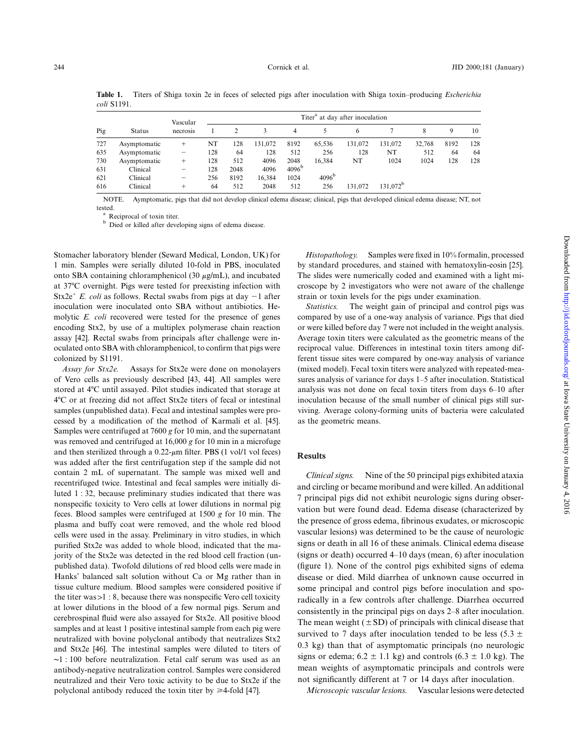**Table 1.** Titers of Shiga toxin 2e in feces of selected pigs after inoculation with Shiga toxin–producing *Escherichia coli* S1191.

| Pig | <b>Status</b> | Vascular<br>necrosis | Titer <sup>a</sup> at day after inoculation |      |         |                   |                   |         |                      |        |      |     |
|-----|---------------|----------------------|---------------------------------------------|------|---------|-------------------|-------------------|---------|----------------------|--------|------|-----|
|     |               |                      |                                             |      | 3       | 4                 | 5                 | -6      |                      | 8      | 9    | 10  |
| 727 | Asymptomatic  | $^+$                 | NT                                          | 128  | 131,072 | 8192              | 65.536            | 131.072 | 131.072              | 32,768 | 8192 | 128 |
| 635 | Asymptomatic  | -                    | 128                                         | 64   | 128     | 512               | 256               | 128     | NT                   | 512    | 64   | 64  |
| 730 | Asymptomatic  | $^+$                 | 128                                         | 512  | 4096    | 2048              | 16,384            | NT      | 1024                 | 1024   | 128  | 128 |
| 631 | Clinical      |                      | 128                                         | 2048 | 4096    | 4096 <sup>b</sup> |                   |         |                      |        |      |     |
| 621 | Clinical      | -                    | 256                                         | 8192 | 16.384  | 1024              | 4096 <sup>b</sup> |         |                      |        |      |     |
| 616 | Clinical      | +                    | 64                                          | 512  | 2048    | 512               | 256               | 131.072 | 131.072 <sup>b</sup> |        |      |     |

NOTE. Aymptomatic, pigs that did not develop clinical edema disease; clinical, pigs that developed clinical edema disease; NT, not

 $\overset{a}{\phantom{\phi}}$  Reciprocal of toxin titer.<br> $\overset{b}{\phantom{\phi}}$  Died or killed after developing signs of edema disease.

Stomacher laboratory blender (Seward Medical, London, UK) for 1 min. Samples were serially diluted 10-fold in PBS, inoculated onto SBA containing chloramphenicol (30  $\mu$ g/mL), and incubated at 377C overnight. Pigs were tested for preexisting infection with Stx2e<sup>+</sup> *E. coli* as follows. Rectal swabs from pigs at day  $-1$  after inoculation were inoculated onto SBA without antibiotics. Hemolytic *E. coli* recovered were tested for the presence of genes encoding Stx2, by use of a multiplex polymerase chain reaction assay [42]. Rectal swabs from principals after challenge were inoculated onto SBA with chloramphenicol, to confirm that pigs were colonized by S1191.

*Assay for Stx2e.* Assays for Stx2e were done on monolayers of Vero cells as previously described [43, 44]. All samples were stored at 47C until assayed. Pilot studies indicated that storage at 47C or at freezing did not affect Stx2e titers of fecal or intestinal samples (unpublished data). Fecal and intestinal samples were processed by a modification of the method of Karmali et al. [45]. Samples were centrifuged at 7600 *g* for 10 min, and the supernatant was removed and centrifuged at 16,000 *g* for 10 min in a microfuge and then sterilized through a  $0.22$ - $\mu$ m filter. PBS (1 vol/1 vol feces) was added after the first centrifugation step if the sample did not contain 2 mL of supernatant. The sample was mixed well and recentrifuged twice. Intestinal and fecal samples were initially diluted 1 : 32, because preliminary studies indicated that there was nonspecific toxicity to Vero cells at lower dilutions in normal pig feces. Blood samples were centrifuged at 1500 *g* for 10 min. The plasma and buffy coat were removed, and the whole red blood cells were used in the assay. Preliminary in vitro studies, in which purified Stx2e was added to whole blood, indicated that the majority of the Stx2e was detected in the red blood cell fraction (unpublished data). Twofold dilutions of red blood cells were made in Hanks' balanced salt solution without Ca or Mg rather than in tissue culture medium. Blood samples were considered positive if the titer was  $>1$  : 8, because there was nonspecific Vero cell toxicity at lower dilutions in the blood of a few normal pigs. Serum and cerebrospinal fluid were also assayed for Stx2e. All positive blood samples and at least 1 positive intestinal sample from each pig were neutralized with bovine polyclonal antibody that neutralizes Stx2 and Stx2e [46]. The intestinal samples were diluted to titers of ∼1 : 100 before neutralization. Fetal calf serum was used as an antibody-negative neutralization control. Samples were considered neutralized and their Vero toxic activity to be due to Stx2e if the polyclonal antibody reduced the toxin titer by  $\geq 4$ -fold [47].

*Histopathology.* Samples were fixed in 10% formalin, processed by standard procedures, and stained with hematoxylin-eosin [25]. The slides were numerically coded and examined with a light microscope by 2 investigators who were not aware of the challenge strain or toxin levels for the pigs under examination.

*Statistics.* The weight gain of principal and control pigs was compared by use of a one-way analysis of variance. Pigs that died or were killed before day 7 were not included in the weight analysis. Average toxin titers were calculated as the geometric means of the reciprocal value. Differences in intestinal toxin titers among different tissue sites were compared by one-way analysis of variance (mixed model). Fecal toxin titers were analyzed with repeated-measures analysis of variance for days 1–5 after inoculation. Statistical analysis was not done on fecal toxin titers from days 6–10 after inoculation because of the small number of clinical pigs still surviving. Average colony-forming units of bacteria were calculated as the geometric means.

## **Results**

*Clinical signs.* Nine of the 50 principal pigs exhibited ataxia and circling or became moribund and were killed. An additional 7 principal pigs did not exhibit neurologic signs during observation but were found dead. Edema disease (characterized by the presence of gross edema, fibrinous exudates, or microscopic vascular lesions) was determined to be the cause of neurologic signs or death in all 16 of these animals. Clinical edema disease (signs or death) occurred 4–10 days (mean, 6) after inoculation (figure 1). None of the control pigs exhibited signs of edema disease or died. Mild diarrhea of unknown cause occurred in some principal and control pigs before inoculation and sporadically in a few controls after challenge. Diarrhea occurred consistently in the principal pigs on days 2–8 after inoculation. The mean weight  $(\pm SD)$  of principals with clinical disease that survived to 7 days after inoculation tended to be less (5.3  $\pm$ 0.3 kg) than that of asymptomatic principals (no neurologic signs or edema;  $6.2 \pm 1.1$  kg) and controls  $(6.3 \pm 1.0$  kg). The mean weights of asymptomatic principals and controls were not significantly different at 7 or 14 days after inoculation.

*Microscopic vascular lesions.* Vascular lesions were detected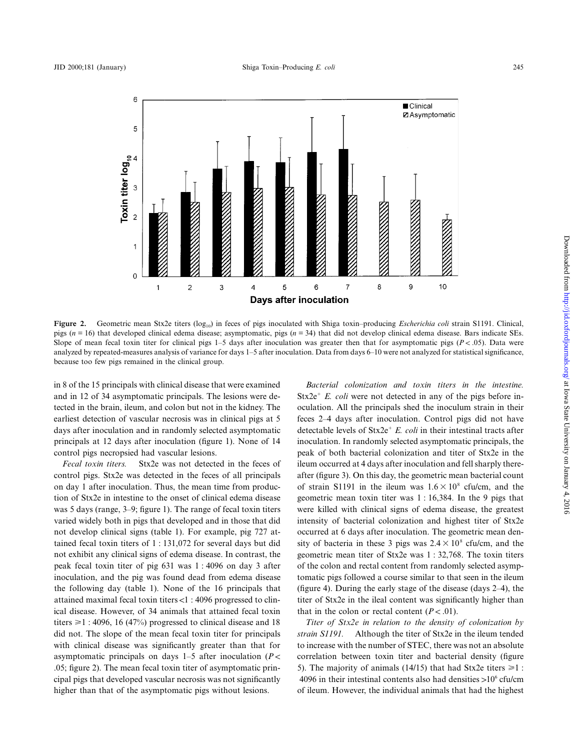

**Figure 2.** Geometric mean Stx2e titers (log<sub>10</sub>) in feces of pigs inoculated with Shiga toxin–producing *Escherichia coli* strain S1191. Clinical, pigs ( $n = 16$ ) that developed clinical edema disease; asymptomatic, pigs ( $n = 34$ ) that did not develop clinical edema disease. Bars indicate SEs. Slope of mean fecal toxin titer for clinical pigs 1–5 days after inoculation was greater then that for asymptomatic pigs ( $P < .05$ ). Data were analyzed by repeated-measures analysis of variance for days 1–5 after inoculation. Data from days 6–10 were not analyzed for statistical significance, because too few pigs remained in the clinical group.

in 8 of the 15 principals with clinical disease that were examined and in 12 of 34 asymptomatic principals. The lesions were detected in the brain, ileum, and colon but not in the kidney. The earliest detection of vascular necrosis was in clinical pigs at 5 days after inoculation and in randomly selected asymptomatic principals at 12 days after inoculation (figure 1). None of 14 control pigs necropsied had vascular lesions.

*Fecal toxin titers.* Stx2e was not detected in the feces of control pigs. Stx2e was detected in the feces of all principals on day 1 after inoculation. Thus, the mean time from production of Stx2e in intestine to the onset of clinical edema disease was 5 days (range, 3–9; figure 1). The range of fecal toxin titers varied widely both in pigs that developed and in those that did not develop clinical signs (table 1). For example, pig 727 attained fecal toxin titers of 1 : 131,072 for several days but did not exhibit any clinical signs of edema disease. In contrast, the peak fecal toxin titer of pig 631 was 1 : 4096 on day 3 after inoculation, and the pig was found dead from edema disease the following day (table 1). None of the 16 principals that attained maximal fecal toxin titers  $<$ 1 : 4096 progressed to clinical disease. However, of 34 animals that attained fecal toxin titers  $\geq 1$  : 4096, 16 (47%) progressed to clinical disease and 18 did not. The slope of the mean fecal toxin titer for principals with clinical disease was significantly greater than that for asymptomatic principals on days  $1-5$  after inoculation ( $P <$ .05; figure 2). The mean fecal toxin titer of asymptomatic principal pigs that developed vascular necrosis was not significantly higher than that of the asymptomatic pigs without lesions.

*Bacterial colonization and toxin titers in the intestine.*  $Stx2e^+ E.$  *coli* were not detected in any of the pigs before inoculation. All the principals shed the inoculum strain in their feces 2–4 days after inoculation. Control pigs did not have detectable levels of  $\text{Stx2e}^+$  *E. coli* in their intestinal tracts after inoculation. In randomly selected asymptomatic principals, the peak of both bacterial colonization and titer of Stx2e in the ileum occurred at 4 days after inoculation and fell sharply thereafter (figure 3). On this day, the geometric mean bacterial count of strain S1191 in the ileum was  $1.6 \times 10^8$  cfu/cm, and the geometric mean toxin titer was 1 : 16,384. In the 9 pigs that were killed with clinical signs of edema disease, the greatest intensity of bacterial colonization and highest titer of Stx2e occurred at 6 days after inoculation. The geometric mean density of bacteria in these 3 pigs was  $2.4 \times 10^8$  cfu/cm, and the geometric mean titer of Stx2e was 1 : 32,768. The toxin titers of the colon and rectal content from randomly selected asymptomatic pigs followed a course similar to that seen in the ileum (figure 4). During the early stage of the disease (days 2–4), the titer of Stx2e in the ileal content was significantly higher than that in the colon or rectal content  $(P < .01)$ .

*Titer of Stx2e in relation to the density of colonization by strain S1191.* Although the titer of Stx2e in the ileum tended to increase with the number of STEC, there was not an absolute correlation between toxin titer and bacterial density (figure 5). The majority of animals (14/15) that had Stx2e titers  $\geq 1$ : 4096 in their intestinal contents also had densities  $>10^6$  cfu/cm of ileum. However, the individual animals that had the highest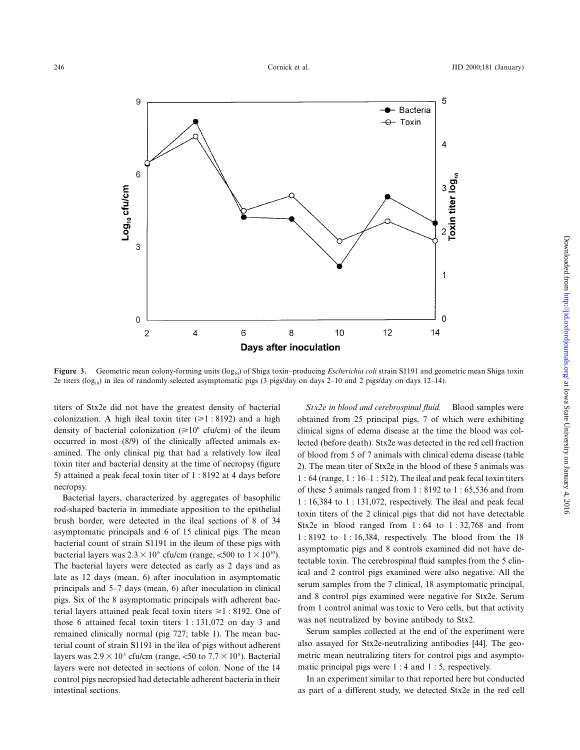

Figure 3. Geometric mean colony-forming units (log<sub>10</sub>) of Shiga toxin–producing *Escherichia coli* strain S1191 and geometric mean Shiga toxin 2e titers ( $log_{10}$ ) in ilea of randomly selected asymptomatic pigs (3 pigs/day on days 2–10 and 2 pigs/day on days 12–14).

titers of Stx2e did not have the greatest density of bacterial colonization. A high ileal toxin titer  $(\geq 1 : 8192)$  and a high density of bacterial colonization ( $\geq 10^6$  cfu/cm) of the ileum occurred in most (8/9) of the clinically affected animals examined. The only clinical pig that had a relatively low ileal toxin titer and bacterial density at the time of necropsy (figure 5) attained a peak fecal toxin titer of 1 : 8192 at 4 days before necropsy.

Bacterial layers, characterized by aggregates of basophilic rod-shaped bacteria in immediate apposition to the epithelial brush border, were detected in the ileal sections of 8 of 34 asymptomatic principals and 6 of 15 clinical pigs. The mean bacterial count of strain S1191 in the ileum of these pigs with bacterial layers was  $2.3 \times 10^6$  cfu/cm (range, <500 to  $1 \times 10^{10}$ ). The bacterial layers were detected as early as 2 days and as late as 12 days (mean, 6) after inoculation in asymptomatic principals and 5–7 days (mean, 6) after inoculation in clinical pigs. Six of the 8 asymptomatic principals with adherent bacterial layers attained peak fecal toxin titers  $\geq 1$  : 8192. One of those 6 attained fecal toxin titers 1 : 131,072 on day 3 and remained clinically normal (pig 727; table 1). The mean bacterial count of strain S1191 in the ilea of pigs without adherent layers was  $2.9 \times 10^5$  cfu/cm (range, <50 to  $7.7 \times 10^8$ ). Bacterial layers were not detected in sections of colon. None of the 14 control pigs necropsied had detectable adherent bacteria in their intestinal sections.

*Stx2e in blood and cerebrospinal fluid.* Blood samples were obtained from 25 principal pigs, 7 of which were exhibiting clinical signs of edema disease at the time the blood was collected (before death). Stx2e was detected in the red cell fraction of blood from 5 of 7 animals with clinical edema disease (table 2). The mean titer of Stx2e in the blood of these 5 animals was 1 : 64 (range, 1 : 16–1 : 512). The ileal and peak fecal toxin titers of these 5 animals ranged from 1 : 8192 to 1 : 65,536 and from 1 : 16,384 to 1 : 131,072, respectively. The ileal and peak fecal toxin titers of the 2 clinical pigs that did not have detectable Stx2e in blood ranged from  $1:64$  to  $1:32,768$  and from 1 : 8192 to 1 : 16,384, respectively. The blood from the 18 asymptomatic pigs and 8 controls examined did not have detectable toxin. The cerebrospinal fluid samples from the 5 clinical and 2 control pigs examined were also negative. All the serum samples from the 7 clinical, 18 asymptomatic principal, and 8 control pigs examined were negative for Stx2e. Serum from 1 control animal was toxic to Vero cells, but that activity was not neutralized by bovine antibody to Stx2.

Serum samples collected at the end of the experiment were also assayed for Stx2e-neutralizing antibodies [44]. The geometric mean neutralizing titers for control pigs and asymptomatic principal pigs were 1 : 4 and 1 : 5, respectively.

In an experiment similar to that reported here but conducted as part of a different study, we detected Stx2e in the red cell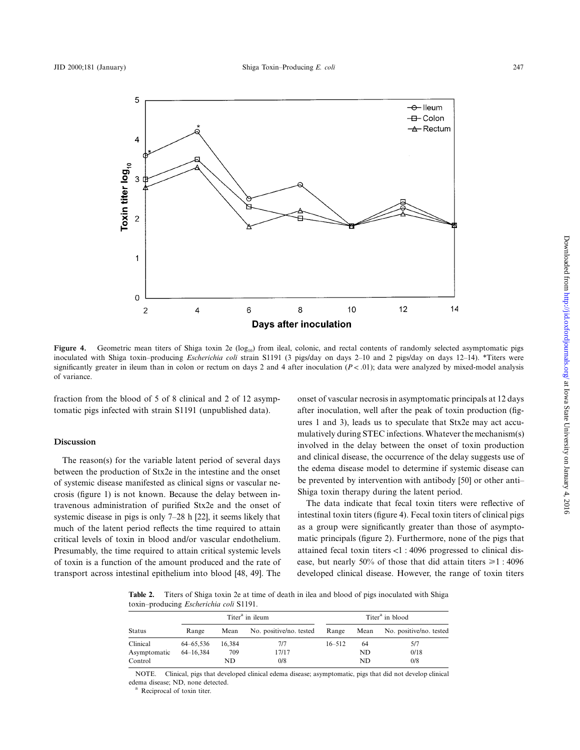

Figure 4. Geometric mean titers of Shiga toxin 2e (log<sub>10</sub>) from ileal, colonic, and rectal contents of randomly selected asymptomatic pigs inoculated with Shiga toxin–producing *Escherichia coli* strain S1191 (3 pigs/day on days 2–10 and 2 pigs/day on days 12–14). \*Titers were significantly greater in ileum than in colon or rectum on days 2 and 4 after inoculation  $(P < .01)$ ; data were analyzed by mixed-model analysis of variance.

fraction from the blood of 5 of 8 clinical and 2 of 12 asymptomatic pigs infected with strain S1191 (unpublished data).

# **Discussion**

The reason(s) for the variable latent period of several days between the production of Stx2e in the intestine and the onset of systemic disease manifested as clinical signs or vascular necrosis (figure 1) is not known. Because the delay between intravenous administration of purified Stx2e and the onset of systemic disease in pigs is only 7–28 h [22], it seems likely that much of the latent period reflects the time required to attain critical levels of toxin in blood and/or vascular endothelium. Presumably, the time required to attain critical systemic levels of toxin is a function of the amount produced and the rate of transport across intestinal epithelium into blood [48, 49]. The onset of vascular necrosis in asymptomatic principals at 12 days after inoculation, well after the peak of toxin production (figures 1 and 3), leads us to speculate that Stx2e may act accumulatively during STEC infections. Whatever the mechanism(s) involved in the delay between the onset of toxin production and clinical disease, the occurrence of the delay suggests use of the edema disease model to determine if systemic disease can be prevented by intervention with antibody [50] or other anti– Shiga toxin therapy during the latent period.

The data indicate that fecal toxin titers were reflective of intestinal toxin titers (figure 4). Fecal toxin titers of clinical pigs as a group were significantly greater than those of asymptomatic principals (figure 2). Furthermore, none of the pigs that attained fecal toxin titers  $\langle 1 : 4096$  progressed to clinical disease, but nearly 50% of those that did attain titers  $\geq 1$ : 4096 developed clinical disease. However, the range of toxin titers

**Table 2.** Titers of Shiga toxin 2e at time of death in ilea and blood of pigs inoculated with Shiga toxin–producing *Escherichia coli* S1191.

|               |           |        | Titer <sup>a</sup> in ileum | Titer <sup>a</sup> in blood |      |                         |  |
|---------------|-----------|--------|-----------------------------|-----------------------------|------|-------------------------|--|
| <b>Status</b> | Range     | Mean   | No. positive/no. tested     |                             | Mean | No. positive/no. tested |  |
| Clinical      | 64–65.536 | 16.384 | 717                         | $16 - 512$                  | -64  | 5/7                     |  |
| Asymptomatic  | 64–16.384 | 709    | 17/17                       |                             | ND   | 0/18                    |  |
| Control       |           | ND     | 0/8                         |                             | ND   | 0/8                     |  |

NOTE. Clinical, pigs that developed clinical edema disease; asymptomatic, pigs that did not develop clinical edema disease; ND, none detected.<br><sup>a</sup> Reciprocal of toxin titer.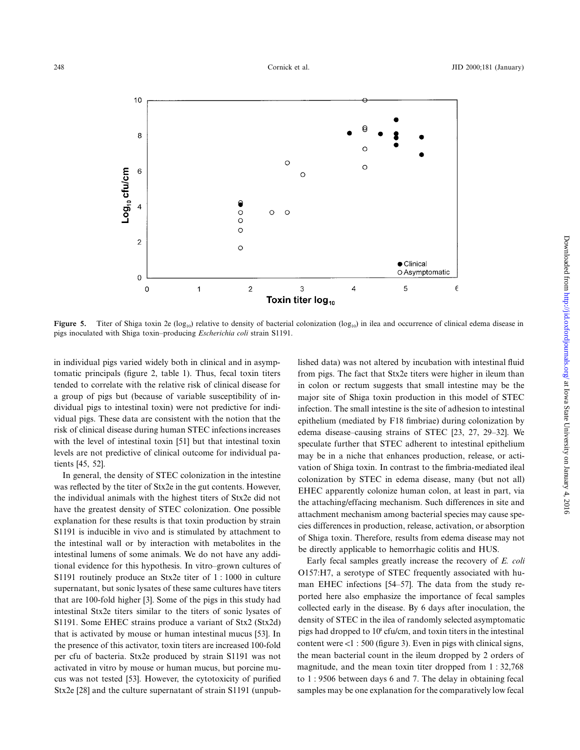

**Figure 5.** Titer of Shiga toxin 2e ( $log_{10}$ ) relative to density of bacterial colonization ( $log_{10}$ ) in ilea and occurrence of clinical edema disease in pigs inoculated with Shiga toxin–producing *Escherichia coli* strain S1191.

in individual pigs varied widely both in clinical and in asymptomatic principals (figure 2, table 1). Thus, fecal toxin titers tended to correlate with the relative risk of clinical disease for a group of pigs but (because of variable susceptibility of individual pigs to intestinal toxin) were not predictive for individual pigs. These data are consistent with the notion that the risk of clinical disease during human STEC infections increases with the level of intestinal toxin [51] but that intestinal toxin levels are not predictive of clinical outcome for individual patients [45, 52].

In general, the density of STEC colonization in the intestine was reflected by the titer of Stx2e in the gut contents. However, the individual animals with the highest titers of Stx2e did not have the greatest density of STEC colonization. One possible explanation for these results is that toxin production by strain S1191 is inducible in vivo and is stimulated by attachment to the intestinal wall or by interaction with metabolites in the intestinal lumens of some animals. We do not have any additional evidence for this hypothesis. In vitro–grown cultures of S1191 routinely produce an Stx2e titer of 1 : 1000 in culture supernatant, but sonic lysates of these same cultures have titers that are 100-fold higher [3]. Some of the pigs in this study had intestinal Stx2e titers similar to the titers of sonic lysates of S1191. Some EHEC strains produce a variant of Stx2 (Stx2d) that is activated by mouse or human intestinal mucus [53]. In the presence of this activator, toxin titers are increased 100-fold per cfu of bacteria. Stx2e produced by strain S1191 was not activated in vitro by mouse or human mucus, but porcine mucus was not tested [53]. However, the cytotoxicity of purified Stx2e [28] and the culture supernatant of strain S1191 (unpublished data) was not altered by incubation with intestinal fluid from pigs. The fact that Stx2e titers were higher in ileum than in colon or rectum suggests that small intestine may be the major site of Shiga toxin production in this model of STEC infection. The small intestine is the site of adhesion to intestinal epithelium (mediated by F18 fimbriae) during colonization by edema disease–causing strains of STEC [23, 27, 29–32]. We speculate further that STEC adherent to intestinal epithelium may be in a niche that enhances production, release, or activation of Shiga toxin. In contrast to the fimbria-mediated ileal colonization by STEC in edema disease, many (but not all) EHEC apparently colonize human colon, at least in part, via the attaching/effacing mechanism. Such differences in site and attachment mechanism among bacterial species may cause species differences in production, release, activation, or absorption of Shiga toxin. Therefore, results from edema disease may not be directly applicable to hemorrhagic colitis and HUS.

Early fecal samples greatly increase the recovery of *E. coli* O157:H7, a serotype of STEC frequently associated with human EHEC infections [54–57]. The data from the study reported here also emphasize the importance of fecal samples collected early in the disease. By 6 days after inoculation, the density of STEC in the ilea of randomly selected asymptomatic pigs had dropped to  $10^4$  cfu/cm, and toxin titers in the intestinal content were  $< 1$  : 500 (figure 3). Even in pigs with clinical signs, the mean bacterial count in the ileum dropped by 2 orders of magnitude, and the mean toxin titer dropped from 1 : 32,768 to 1 : 9506 between days 6 and 7. The delay in obtaining fecal samples may be one explanation for the comparatively low fecal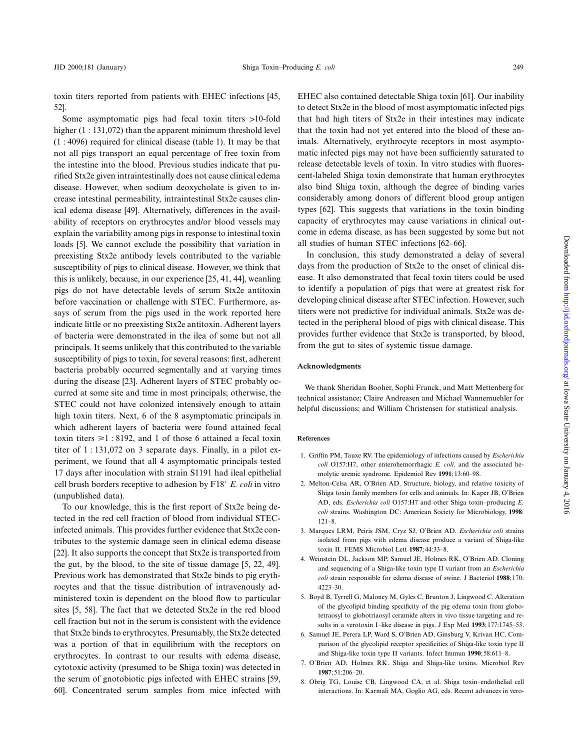toxin titers reported from patients with EHEC infections [45, 52].

Some asymptomatic pigs had fecal toxin titers >10-fold higher (1 : 131,072) than the apparent minimum threshold level (1 : 4096) required for clinical disease (table 1). It may be that not all pigs transport an equal percentage of free toxin from the intestine into the blood. Previous studies indicate that purified Stx2e given intraintestinally does not cause clinical edema disease. However, when sodium deoxycholate is given to increase intestinal permeability, intraintestinal Stx2e causes clinical edema disease [49]. Alternatively, differences in the availability of receptors on erythrocytes and/or blood vessels may explain the variability among pigs in response to intestinal toxin loads [5]. We cannot exclude the possibility that variation in preexisting Stx2e antibody levels contributed to the variable susceptibility of pigs to clinical disease. However, we think that this is unlikely, because, in our experience [25, 41, 44], weanling pigs do not have detectable levels of serum Stx2e antitoxin before vaccination or challenge with STEC. Furthermore, assays of serum from the pigs used in the work reported here indicate little or no preexisting Stx2e antitoxin. Adherent layers of bacteria were demonstrated in the ilea of some but not all principals. It seems unlikely that this contributed to the variable susceptibility of pigs to toxin, for several reasons: first, adherent bacteria probably occurred segmentally and at varying times during the disease [23]. Adherent layers of STEC probably occurred at some site and time in most principals; otherwise, the STEC could not have colonized intensively enough to attain high toxin titers. Next, 6 of the 8 asymptomatic principals in which adherent layers of bacteria were found attained fecal toxin titers  $\geq 1$  : 8192, and 1 of those 6 attained a fecal toxin titer of 1 : 131,072 on 3 separate days. Finally, in a pilot experiment, we found that all 4 asymptomatic principals tested 17 days after inoculation with strain S1191 had ileal epithelial cell brush borders receptive to adhesion by  $F18^+ E$ . *coli* in vitro (unpublished data).

To our knowledge, this is the first report of Stx2e being detected in the red cell fraction of blood from individual STECinfected animals. This provides further evidence that Stx2e contributes to the systemic damage seen in clinical edema disease [22]. It also supports the concept that Stx2e is transported from the gut, by the blood, to the site of tissue damage [5, 22, 49]. Previous work has demonstrated that Stx2e binds to pig erythrocytes and that the tissue distribution of intravenously administered toxin is dependent on the blood flow to particular sites [5, 58]. The fact that we detected Stx2e in the red blood cell fraction but not in the serum is consistent with the evidence that Stx2e binds to erythrocytes. Presumably, the Stx2e detected was a portion of that in equilibrium with the receptors on erythrocytes. In contrast to our results with edema disease, cytotoxic activity (presumed to be Shiga toxin) was detected in the serum of gnotobiotic pigs infected with EHEC strains [59, 60]. Concentrated serum samples from mice infected with EHEC also contained detectable Shiga toxin [61]. Our inability to detect Stx2e in the blood of most asymptomatic infected pigs that had high titers of Stx2e in their intestines may indicate that the toxin had not yet entered into the blood of these animals. Alternatively, erythrocyte receptors in most asymptomatic infected pigs may not have been sufficiently saturated to release detectable levels of toxin. In vitro studies with fluorescent-labeled Shiga toxin demonstrate that human erythrocytes also bind Shiga toxin, although the degree of binding varies considerably among donors of different blood group antigen types [62]. This suggests that variations in the toxin binding capacity of erythrocytes may cause variations in clinical outcome in edema disease, as has been suggested by some but not all studies of human STEC infections [62–66].

In conclusion, this study demonstrated a delay of several days from the production of Stx2e to the onset of clinical disease. It also demonstrated that fecal toxin titers could be used to identify a population of pigs that were at greatest risk for developing clinical disease after STEC infection. However, such titers were not predictive for individual animals. Stx2e was detected in the peripheral blood of pigs with clinical disease. This provides further evidence that Stx2e is transported, by blood, from the gut to sites of systemic tissue damage.

### **Acknowledgments**

We thank Sheridan Booher, Sophi Franck, and Matt Mettenberg for technical assistance; Claire Andreasen and Michael Wannemuehler for helpful discussions; and William Christensen for statistical analysis.

#### **References**

- 1. Griffin PM, Tauxe RV. The epidemiology of infections caused by *Escherichia coli* O157:H7, other enterohemorrhagic *E. coli,* and the associated hemolytic uremic syndrome. Epidemiol Rev **1991**;13:60–98.
- 2. Melton-Celsa AR, O'Brien AD. Structure, biology, and relative toxicity of Shiga toxin family members for cells and animals. In: Kaper JB, O'Brien AD, eds. *Escherichia coli* O157:H7 and other Shiga toxin–producing *E. coli* strains. Washington DC: American Society for Microbiology, **1998**: 121–8.
- 3. Marques LRM, Peiris JSM, Cryz SJ, O'Brien AD. *Escherichia coli* strains isolated from pigs with edema disease produce a variant of Shiga-like toxin II. FEMS Microbiol Lett **1987**;44:33–8.
- 4. Weinstein DL, Jackson MP, Samuel JE, Holmes RK, O'Brien AD. Cloning and sequencing of a Shiga-like toxin type II variant from an *Escherichia coli* strain responsible for edema disease of swine. J Bacteriol **1988**;170: 4223–30.
- 5. Boyd B, Tyrrell G, Maloney M, Gyles C, Brunton J, Lingwood C. Alteration of the glycolipid binding specificity of the pig edema toxin from globotetraosyl to globotriaosyl ceramide alters in vivo tissue targeting and results in a verotoxin I–like disease in pigs. J Exp Med **1993**;177:1745–53.
- 6. Samuel JE, Perera LP, Ward S, O'Brien AD, Ginsburg V, Krivan HC. Comparison of the glycolipid receptor specificities of Shiga-like toxin type II and Shiga-like toxin type II variants. Infect Immun **1990**;58:611–8.
- 7. O'Brien AD, Holmes RK. Shiga and Shiga-like toxins. Microbiol Rev **1987**;51:206–20.
- 8. Obrig TG, Louise CB, Lingwood CA, et al. Shiga toxin–endothelial cell interactions. In: Karmali MA, Goglio AG, eds. Recent advances in vero-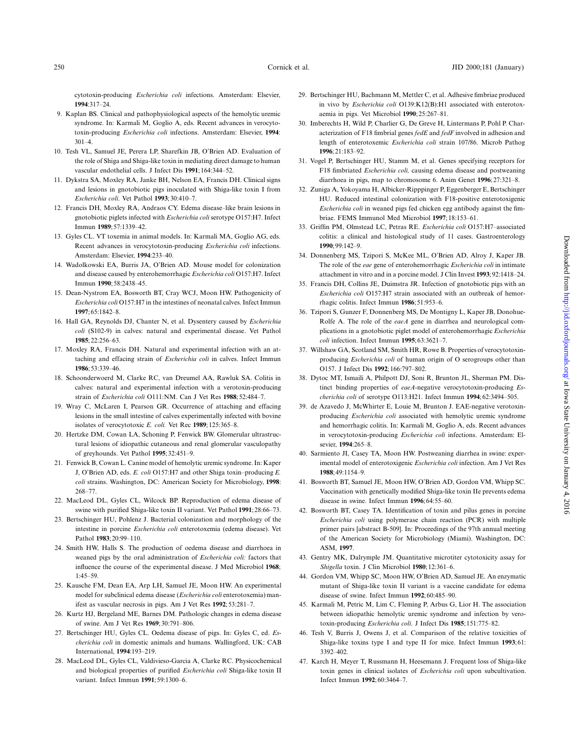cytotoxin-producing *Escherichia coli* infections. Amsterdam: Elsevier, **1994**:317–24.

- 9. Kaplan BS. Clinical and pathophysiological aspects of the hemolytic uremic syndrome. In: Karmali M, Goglio A, eds. Recent advances in verocytotoxin-producing *Escherichia coli* infections. Amsterdam: Elsevier, **1994**: 301–4.
- 10. Tesh VL, Samuel JE, Perera LP, Sharefkin JB, O'Brien AD. Evaluation of the role of Shiga and Shiga-like toxin in mediating direct damage to human vascular endothelial cells. J Infect Dis **1991**;164:344–52.
- 11. Dykstra SA, Moxley RA, Janke BH, Nelson EA, Francis DH. Clinical signs and lesions in gnotobiotic pigs inoculated with Shiga-like toxin I from *Escherichia coli*. Vet Pathol **1993**;30:410–7.
- 12. Francis DH, Moxley RA, Andraos CY. Edema disease–like brain lesions in gnotobiotic piglets infected with *Escherichia coli* serotype O157:H7. Infect Immun **1989**;57:1339–42.
- 13. Gyles CL. VT toxemia in animal models. In: Karmali MA, Goglio AG, eds. Recent advances in verocytotoxin-producing *Escherichia coli* infections. Amsterdam: Elsevier, **1994**:233–40.
- 14. Wadolkowski EA, Burris JA, O'Brien AD. Mouse model for colonization and disease caused by enterohemorrhagic *Escherichia coli* O157:H7. Infect Immun **1990**;58:2438–45.
- 15. Dean-Nystrom EA, Bosworth BT, Cray WCJ, Moon HW. Pathogenicity of *Escherichia coli* O157:H7 in the intestines of neonatal calves. Infect Immun **1997**;65:1842–8.
- 16. Hall GA, Reynolds DJ, Chanter N, et al. Dysentery caused by *Escherichia coli* (S102-9) in calves: natural and experimental disease. Vet Pathol **1985**;22:256–63.
- 17. Moxley RA, Francis DH. Natural and experimental infection with an attaching and effacing strain of *Escherichia coli* in calves. Infect Immun **1986**;53:339–46.
- 18. Schoonderwoerd M, Clarke RC, van Dreumel AA, Rawluk SA. Colitis in calves: natural and experimental infection with a verotoxin-producing strain of *Escherichia coli* O111:NM. Can J Vet Res **1988**;52:484–7.
- 19. Wray C, McLaren I, Pearson GR. Occurrence of attaching and effacing lesions in the small intestine of calves experimentally infected with bovine isolates of verocytotoxic *E. coli.* Vet Rec **1989**;125:365–8.
- 20. Hertzke DM, Cowan LA, Schoning P, Fenwick BW. Glomerular ultrastructural lesions of idiopathic cutaneous and renal glomerular vasculopathy of greyhounds. Vet Pathol **1995**;32:451–9.
- 21. Fenwick B, Cowan L. Canine model of hemolytic uremic syndrome. In: Kaper J, O'Brien AD, eds. *E. coli* O157:H7 and other Shiga toxin–producing *E. coli* strains. Washington, DC: American Society for Microbiology, **1998**: 268–77.
- 22. MacLeod DL, Gyles CL, Wilcock BP. Reproduction of edema disease of swine with purified Shiga-like toxin II variant. Vet Pathol **1991**;28:66–73.
- 23. Bertschinger HU, Pohlenz J. Bacterial colonization and morphology of the intestine in porcine *Escherichia coli* enterotoxemia (edema disease). Vet Pathol **1983**;20:99–110.
- 24. Smith HW, Halls S. The production of oedema disease and diarrhoea in weaned pigs by the oral administration of *Escherichia coli:* factors that influence the course of the experimental disease. J Med Microbiol **1968**; 1:45–59.
- 25. Kausche FM, Dean EA, Arp LH, Samuel JE, Moon HW. An experimental model for subclinical edema disease (*Escherichia coli* enterotoxemia) manifest as vascular necrosis in pigs. Am J Vet Res **1992**;53:281–7.
- 26. Kurtz HJ, Bergeland ME, Barnes DM. Pathologic changes in edema disease of swine. Am J Vet Res **1969**;30:791–806.
- 27. Bertschinger HU, Gyles CL. Oedema disease of pigs. In: Gyles C, ed. *Escherichia coli* in domestic animals and humans. Wallingford, UK: CAB International, **1994**:193–219.
- 28. MacLeod DL, Gyles CL, Valdivieso-Garcia A, Clarke RC. Physicochemical and biological properties of purified *Escherichia coli* Shiga-like toxin II variant. Infect Immun **1991**;59:1300–6.
- 29. Bertschinger HU, Bachmann M, Mettler C, et al. Adhesive fimbriae produced in vivo by *Escherichia coli* O139:K12(B):H1 associated with enterotoxaemia in pigs. Vet Microbiol **1990**;25:267–81.
- 30. Imberechts H, Wild P, Charlier G, De Greve H, Lintermans P, Pohl P. Characterization of F18 fimbrial genes *fedE* and *fedF* involved in adhesion and length of enterotoxemic *Escherichia coli* strain 107/86. Microb Pathog **1996**;21:183–92.
- 31. Vogel P, Bertschinger HU, Stamm M, et al. Genes specifying receptors for F18 fimbriated *Escherichia coli,* causing edema disease and postweaning diarrhoea in pigs, map to chromosome 6. Anim Genet **1996**;27:321–8.
- 32. Zuniga A, Yokoyama H, Albicker-Ripppinger P, Eggenberger E, Bertschinger HU. Reduced intestinal colonization with F18-positive enterotoxigenic *Escherichia coli* in weaned pigs fed chicken egg antibody against the fimbriae. FEMS Immunol Med Microbiol **1997**;18:153–61.
- 33. Griffin PM, Olmstead LC, Petras RE. *Escherichia coli* O157:H7–associated colitis: a clinical and histological study of 11 cases. Gastroenterology **1990**;99:142–9.
- 34. Donnenberg MS, Tzipori S, McKee ML, O'Brien AD, Alroy J, Kaper JB. The role of the *eae* gene of enterohemorrhagic *Escherichia coli* in intimate attachment in vitro and in a porcine model. J Clin Invest **1993**;92:1418–24.
- 35. Francis DH, Collins JE, Duimstra JR. Infection of gnotobiotic pigs with an *Escherichia coli* O157:H7 strain associated with an outbreak of hemorrhagic colitis. Infect Immun **1986**;51:953–6.
- 36. Tzipori S, Gunzer F, Donnenberg MS, De Montigny L, Kaper JB, Donohue-Rolfe A. The role of the *eaeA* gene in diarrhea and neurological complications in a gnotobiotic piglet model of enterohemorrhagic *Escherichia coli* infection. Infect Immun **1995**;63:3621–7.
- 37. Willshaw GA, Scotland SM, Smith HR, Rowe B. Properties of verocytotoxinproducing *Escherichia coli* of human origin of O serogroups other than O157. J Infect Dis **1992**;166:797–802.
- 38. Dytoc MT, Ismaili A, Philpott DJ, Soni R, Brunton JL, Sherman PM. Distinct binding properties of *eaeA*-negative verocytotoxin-producing *Escherichia coli* of serotype O113:H21. Infect Immun **1994**;62:3494–505.
- 39. de Azavedo J, McWhirter E, Louie M, Brunton J. EAE-negative verotoxinproducing *Escherichia coli* associated with hemolytic uremic syndrome and hemorrhagic colitis. In: Karmali M, Goglio A, eds. Recent advances in verocytotoxin-producing *Escherichia coli* infections. Amsterdam: Elsevier, **1994**:265–8.
- 40. Sarmiento JI, Casey TA, Moon HW. Postweaning diarrhea in swine: experimental model of enterotoxigenic *Escherichia coli* infection. Am J Vet Res **1988**;49:1154–9.
- 41. Bosworth BT, Samuel JE, Moon HW, O'Brien AD, Gordon VM, Whipp SC. Vaccination with genetically modified Shiga-like toxin IIe prevents edema disease in swine. Infect Immun **1996**;64:55–60.
- 42. Bosworth BT, Casey TA. Identification of toxin and pilus genes in porcine *Escherichia coli* using polymerase chain reaction (PCR) with multiple primer pairs [abstract B-509]. In: Proceedings of the 97th annual meeting of the American Society for Microbiology (Miami). Washington, DC: ASM, **1997**.
- 43. Gentry MK, Dalrymple JM. Quantitative microtiter cytotoxicity assay for *Shigella* toxin. J Clin Microbiol **1980**;12:361–6.
- 44. Gordon VM, Whipp SC, Moon HW, O'Brien AD, Samuel JE. An enzymatic mutant of Shiga-like toxin II variant is a vaccine candidate for edema disease of swine. Infect Immun **1992**;60:485–90.
- 45. Karmali M, Petric M, Lim C, Fleming P, Arbus G, Lior H. The association between idiopathic hemolytic uremic syndrome and infection by verotoxin-producing *Escherichia coli*. J Infect Dis **1985**;151:775–82.
- 46. Tesh V, Burris J, Owens J, et al. Comparison of the relative toxicities of Shiga-like toxins type I and type II for mice. Infect Immun **1993**;61: 3392–402.
- 47. Karch H, Meyer T, Russmann H, Heesemann J. Frequent loss of Shiga-like toxin genes in clinical isolates of *Escherichia coli* upon subcultivation. Infect Immun **1992**;60:3464–7.